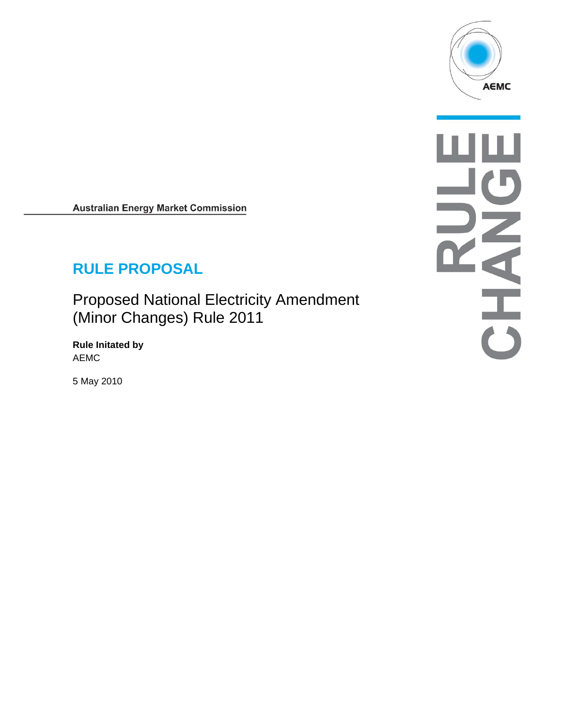

**Australian Energy Market Commission** 

# **RULE PROPOSAL**

Proposed National Electricity Amendment (Minor Changes) Rule 2011

**Rule Initated by**  AEMC

5 May 2010

W NATHER CO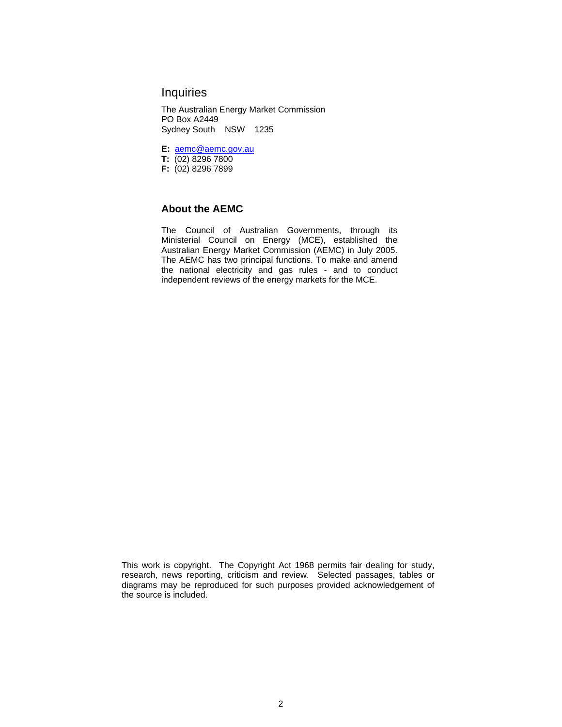# **Inquiries**

The Australian Energy Market Commission PO Box A2449 Sydney South NSW 1235

**E:** aemc@aemc.gov.au

**T:** (02) 8296 7800

**F:** (02) 8296 7899

#### **About the AEMC**

The Council of Australian Governments, through its Ministerial Council on Energy (MCE), established the Australian Energy Market Commission (AEMC) in July 2005. The AEMC has two principal functions. To make and amend the national electricity and gas rules - and to conduct independent reviews of the energy markets for the MCE.

This work is copyright. The Copyright Act 1968 permits fair dealing for study, research, news reporting, criticism and review. Selected passages, tables or diagrams may be reproduced for such purposes provided acknowledgement of the source is included.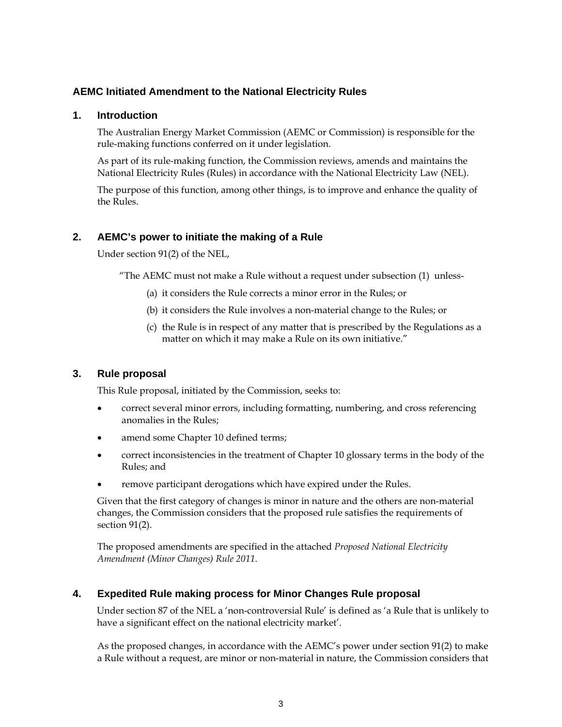## **AEMC Initiated Amendment to the National Electricity Rules**

### **1. Introduction**

The Australian Energy Market Commission (AEMC or Commission) is responsible for the rule-making functions conferred on it under legislation.

As part of its rule-making function, the Commission reviews, amends and maintains the National Electricity Rules (Rules) in accordance with the National Electricity Law (NEL).

The purpose of this function, among other things, is to improve and enhance the quality of the Rules.

## **2. AEMC's power to initiate the making of a Rule**

Under section 91(2) of the NEL,

"The AEMC must not make a Rule without a request under subsection (1) unless-

- (a) it considers the Rule corrects a minor error in the Rules; or
- (b) it considers the Rule involves a non-material change to the Rules; or
- (c) the Rule is in respect of any matter that is prescribed by the Regulations as a matter on which it may make a Rule on its own initiative."

### **3. Rule proposal**

This Rule proposal, initiated by the Commission, seeks to:

- correct several minor errors, including formatting, numbering, and cross referencing anomalies in the Rules;
- amend some Chapter 10 defined terms;
- correct inconsistencies in the treatment of Chapter 10 glossary terms in the body of the Rules; and
- remove participant derogations which have expired under the Rules.

Given that the first category of changes is minor in nature and the others are non-material changes, the Commission considers that the proposed rule satisfies the requirements of section 91(2).

The proposed amendments are specified in the attached *Proposed National Electricity Amendment (Minor Changes) Rule 2011*.

## **4. Expedited Rule making process for Minor Changes Rule proposal**

Under section 87 of the NEL a 'non-controversial Rule' is defined as 'a Rule that is unlikely to have a significant effect on the national electricity market'.

As the proposed changes, in accordance with the AEMC's power under section 91(2) to make a Rule without a request, are minor or non-material in nature, the Commission considers that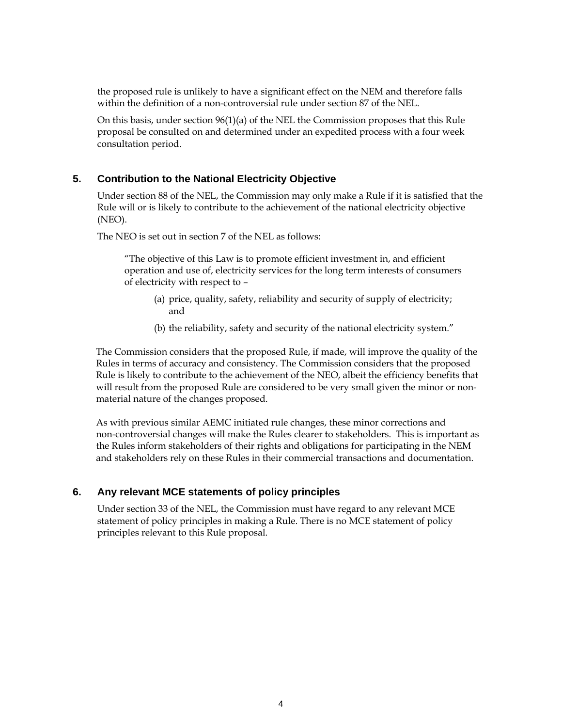the proposed rule is unlikely to have a significant effect on the NEM and therefore falls within the definition of a non-controversial rule under section 87 of the NEL.

On this basis, under section  $96(1)(a)$  of the NEL the Commission proposes that this Rule proposal be consulted on and determined under an expedited process with a four week consultation period.

#### **5. Contribution to the National Electricity Objective**

Under section 88 of the NEL, the Commission may only make a Rule if it is satisfied that the Rule will or is likely to contribute to the achievement of the national electricity objective (NEO).

The NEO is set out in section 7 of the NEL as follows:

"The objective of this Law is to promote efficient investment in, and efficient operation and use of, electricity services for the long term interests of consumers of electricity with respect to –

- (a) price, quality, safety, reliability and security of supply of electricity; and
- (b) the reliability, safety and security of the national electricity system."

The Commission considers that the proposed Rule, if made, will improve the quality of the Rules in terms of accuracy and consistency. The Commission considers that the proposed Rule is likely to contribute to the achievement of the NEO, albeit the efficiency benefits that will result from the proposed Rule are considered to be very small given the minor or nonmaterial nature of the changes proposed.

As with previous similar AEMC initiated rule changes, these minor corrections and non-controversial changes will make the Rules clearer to stakeholders. This is important as the Rules inform stakeholders of their rights and obligations for participating in the NEM and stakeholders rely on these Rules in their commercial transactions and documentation.

#### **6. Any relevant MCE statements of policy principles**

Under section 33 of the NEL, the Commission must have regard to any relevant MCE statement of policy principles in making a Rule. There is no MCE statement of policy principles relevant to this Rule proposal.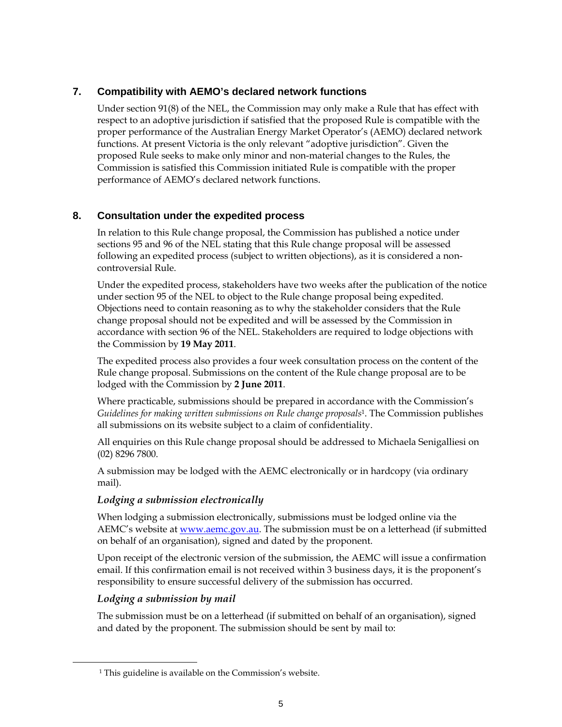# **7. Compatibility with AEMO's declared network functions**

Under section 91(8) of the NEL, the Commission may only make a Rule that has effect with respect to an adoptive jurisdiction if satisfied that the proposed Rule is compatible with the proper performance of the Australian Energy Market Operator's (AEMO) declared network functions. At present Victoria is the only relevant "adoptive jurisdiction". Given the proposed Rule seeks to make only minor and non-material changes to the Rules, the Commission is satisfied this Commission initiated Rule is compatible with the proper performance of AEMO's declared network functions.

# **8. Consultation under the expedited process**

In relation to this Rule change proposal, the Commission has published a notice under sections 95 and 96 of the NEL stating that this Rule change proposal will be assessed following an expedited process (subject to written objections), as it is considered a noncontroversial Rule.

Under the expedited process, stakeholders have two weeks after the publication of the notice under section 95 of the NEL to object to the Rule change proposal being expedited. Objections need to contain reasoning as to why the stakeholder considers that the Rule change proposal should not be expedited and will be assessed by the Commission in accordance with section 96 of the NEL. Stakeholders are required to lodge objections with the Commission by **19 May 2011**.

The expedited process also provides a four week consultation process on the content of the Rule change proposal. Submissions on the content of the Rule change proposal are to be lodged with the Commission by **2 June 2011**.

Where practicable, submissions should be prepared in accordance with the Commission's *Guidelines for making written submissions on Rule change proposals*1. The Commission publishes all submissions on its website subject to a claim of confidentiality.

All enquiries on this Rule change proposal should be addressed to Michaela Senigalliesi on (02) 8296 7800.

A submission may be lodged with the AEMC electronically or in hardcopy (via ordinary mail).

## *Lodging a submission electronically*

When lodging a submission electronically, submissions must be lodged online via the AEMC's website at www.aemc.gov.au. The submission must be on a letterhead (if submitted on behalf of an organisation), signed and dated by the proponent.

Upon receipt of the electronic version of the submission, the AEMC will issue a confirmation email. If this confirmation email is not received within 3 business days, it is the proponent's responsibility to ensure successful delivery of the submission has occurred.

## *Lodging a submission by mail*

 $\overline{a}$ 

The submission must be on a letterhead (if submitted on behalf of an organisation), signed and dated by the proponent. The submission should be sent by mail to:

 <sup>1</sup> This guideline is available on the Commission's website.